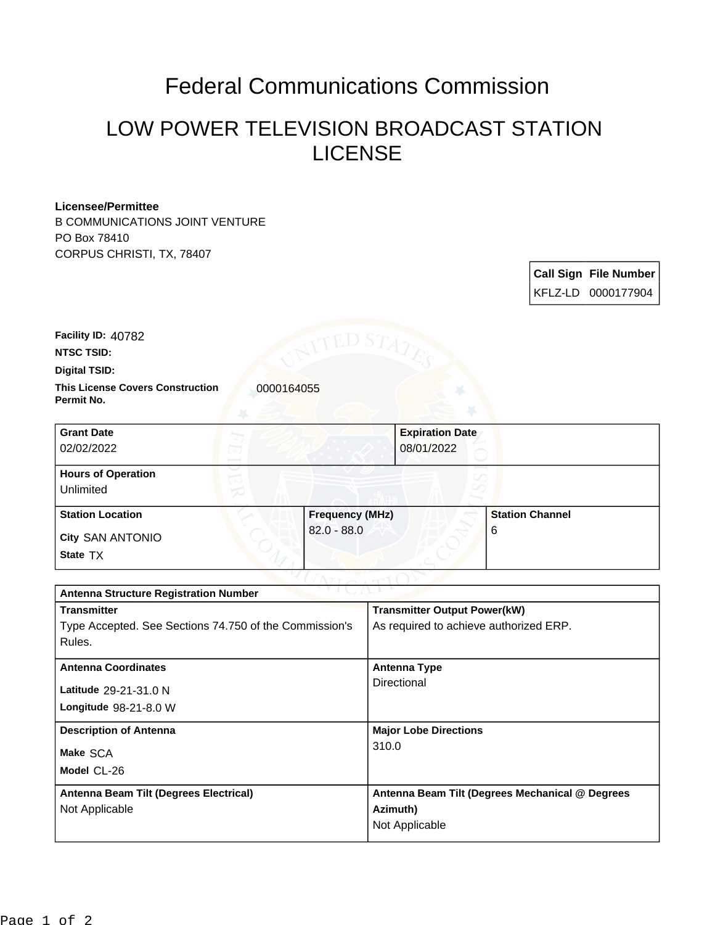## Federal Communications Commission

## LOW POWER TELEVISION BROADCAST STATION LICENSE

## **Licensee/Permittee**

B COMMUNICATIONS JOINT VENTURE PO Box 78410 CORPUS CHRISTI, TX, 78407

| <b>Call Sign File Number</b> |
|------------------------------|
| KFLZ-LD 0000177904           |

**Facility ID:** 40782

**NTSC TSID:**

**Digital TSID:**

**This License Covers Construction 10000164055 Permit No.**

| <b>Grant Date</b><br>02/02/2022        | <b>Expiration Date</b><br>08/01/2022 |                        |
|----------------------------------------|--------------------------------------|------------------------|
| <b>Hours of Operation</b><br>Unlimited |                                      |                        |
| <b>Station Location</b>                | <b>Frequency (MHz)</b>               | <b>Station Channel</b> |
| <b>City SAN ANTONIO</b><br>State TX    | $82.0 - 88.0$                        | 6                      |

| <b>Antenna Structure Registration Number</b>           |                                                 |  |  |
|--------------------------------------------------------|-------------------------------------------------|--|--|
| <b>Transmitter</b>                                     | <b>Transmitter Output Power(kW)</b>             |  |  |
| Type Accepted. See Sections 74.750 of the Commission's | As required to achieve authorized ERP.          |  |  |
| Rules.                                                 |                                                 |  |  |
| <b>Antenna Coordinates</b>                             | <b>Antenna Type</b>                             |  |  |
| Latitude 29-21-31.0 N                                  | Directional                                     |  |  |
| Longitude $98-21-8.0$ W                                |                                                 |  |  |
| <b>Description of Antenna</b>                          | <b>Major Lobe Directions</b>                    |  |  |
| Make SCA                                               | 310.0                                           |  |  |
| Model CL-26                                            |                                                 |  |  |
|                                                        |                                                 |  |  |
| Antenna Beam Tilt (Degrees Electrical)                 | Antenna Beam Tilt (Degrees Mechanical @ Degrees |  |  |
| Not Applicable                                         | Azimuth)                                        |  |  |
|                                                        | Not Applicable                                  |  |  |
|                                                        |                                                 |  |  |